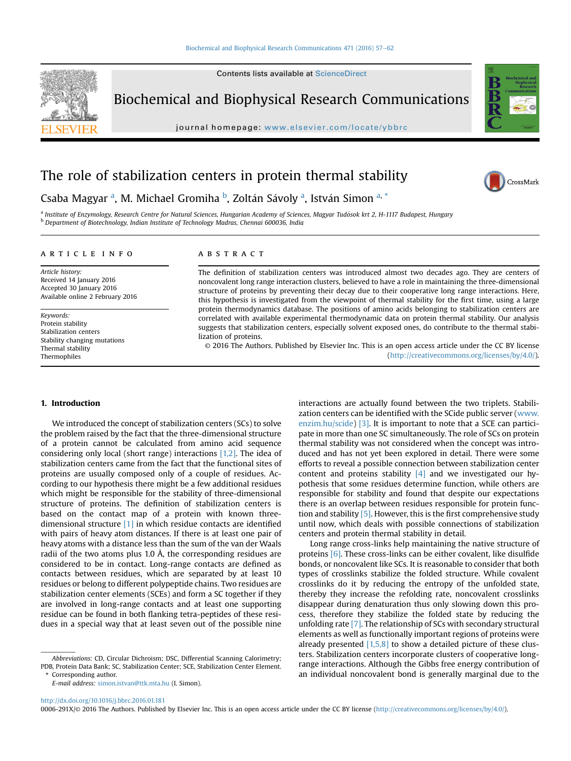Contents lists available at ScienceDirect

Biochemical and Biophysical Research Communications

journal homepage: <www.elsevier.com/locate/ybbrc>

# The role of stabilization centers in protein thermal stability



CrossMark

# Csaba Magyar <sup>a</sup>, M. Michael Gromiha <sup>b</sup>, Zoltán Sávoly <sup>a</sup>, István Simon <sup>a, \*</sup>

a Institute of Enzymology, Research Centre for Natural Sciences, Hungarian Academy of Sciences, Magyar Tudósok krt 2, H-1117 Budapest, Hungary <sup>b</sup> Department of Biotechnology, Indian Institute of Technology Madras, Chennai 600036, India

### article info

Article history: Received 14 January 2016 Accepted 30 January 2016 Available online 2 February 2016

Keywords: Protein stability Stabilization centers Stability changing mutations Thermal stability Thermophiles

# ABSTRACT

The definition of stabilization centers was introduced almost two decades ago. They are centers of noncovalent long range interaction clusters, believed to have a role in maintaining the three-dimensional structure of proteins by preventing their decay due to their cooperative long range interactions. Here, this hypothesis is investigated from the viewpoint of thermal stability for the first time, using a large protein thermodynamics database. The positions of amino acids belonging to stabilization centers are correlated with available experimental thermodynamic data on protein thermal stability. Our analysis suggests that stabilization centers, especially solvent exposed ones, do contribute to the thermal stabilization of proteins.

© 2016 The Authors. Published by Elsevier Inc. This is an open access article under the CC BY license [\(http://creativecommons.org/licenses/by/4.0/](http://creativecommons.org/licenses/by/4.0/)).

## 1. Introduction

We introduced the concept of stabilization centers (SCs) to solve the problem raised by the fact that the three-dimensional structure of a protein cannot be calculated from amino acid sequence considering only local (short range) interactions  $[1,2]$ . The idea of stabilization centers came from the fact that the functional sites of proteins are usually composed only of a couple of residues. According to our hypothesis there might be a few additional residues which might be responsible for the stability of three-dimensional structure of proteins. The definition of stabilization centers is based on the contact map of a protein with known threedimensional structure [\[1\]](#page-4-0) in which residue contacts are identified with pairs of heavy atom distances. If there is at least one pair of heavy atoms with a distance less than the sum of the van der Waals radii of the two atoms plus 1.0 Å, the corresponding residues are considered to be in contact. Long-range contacts are defined as contacts between residues, which are separated by at least 10 residues or belong to different polypeptide chains. Two residues are stabilization center elements (SCEs) and form a SC together if they are involved in long-range contacts and at least one supporting residue can be found in both flanking tetra-peptides of these residues in a special way that at least seven out of the possible nine

E-mail address: [simon.istvan@ttk.mta.hu](mailto:simon.istvan@ttk.mta.hu) (I. Simon).

interactions are actually found between the two triplets. Stabilization centers can be identified with the SCide public server ([www.](http://www.enzim.hu/scide) [enzim.hu/scide\)](http://www.enzim.hu/scide) [\[3\]](#page-4-0). It is important to note that a SCE can participate in more than one SC simultaneously. The role of SCs on protein thermal stability was not considered when the concept was introduced and has not yet been explored in detail. There were some efforts to reveal a possible connection between stabilization center content and proteins stability  $[4]$  and we investigated our hypothesis that some residues determine function, while others are responsible for stability and found that despite our expectations there is an overlap between residues responsible for protein function and stability [\[5\].](#page-4-0) However, this is the first comprehensive study until now, which deals with possible connections of stabilization centers and protein thermal stability in detail.

Long range cross-links help maintaining the native structure of proteins [\[6\]](#page-4-0). These cross-links can be either covalent, like disulfide bonds, or noncovalent like SCs. It is reasonable to consider that both types of crosslinks stabilize the folded structure. While covalent crosslinks do it by reducing the entropy of the unfolded state, thereby they increase the refolding rate, noncovalent crosslinks disappear during denaturation thus only slowing down this process, therefore they stabilize the folded state by reducing the unfolding rate [\[7\].](#page-4-0) The relationship of SCs with secondary structural elements as well as functionally important regions of proteins were already presented  $[1,5,8]$  to show a detailed picture of these clusters. Stabilization centers incorporate clusters of cooperative longrange interactions. Although the Gibbs free energy contribution of an individual noncovalent bond is generally marginal due to the

<http://dx.doi.org/10.1016/j.bbrc.2016.01.181>

0006-291X/© 2016 The Authors. Published by Elsevier Inc. This is an open access article under the CC BY license [\(http://creativecommons.org/licenses/by/4.0/](http://creativecommons.org/licenses/by/4.0/)).

Abbreviations: CD, Circular Dichroism; DSC, Differential Scanning Calorimetry; PDB, Protein Data Bank; SC, Stabilization Center; SCE, Stabilization Center Element. Corresponding author.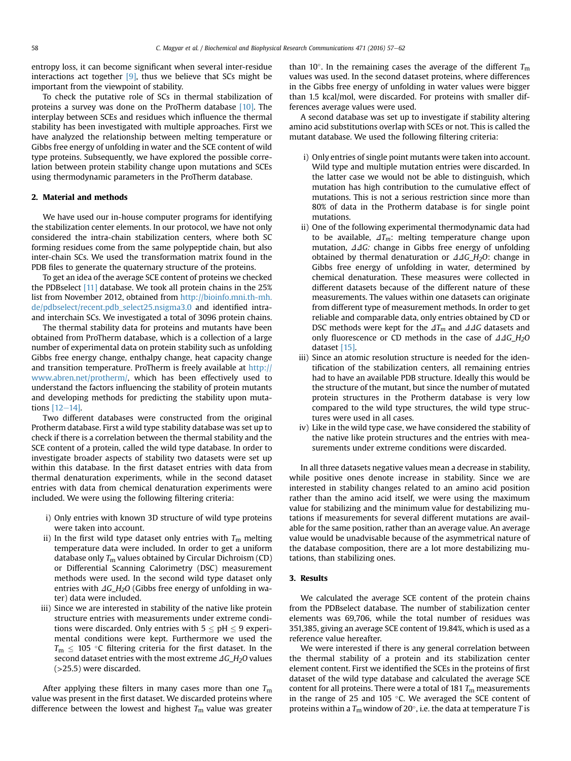entropy loss, it can become significant when several inter-residue interactions act together  $[9]$ , thus we believe that SCs might be important from the viewpoint of stability.

To check the putative role of SCs in thermal stabilization of proteins a survey was done on the ProTherm database [\[10\].](#page-4-0) The interplay between SCEs and residues which influence the thermal stability has been investigated with multiple approaches. First we have analyzed the relationship between melting temperature or Gibbs free energy of unfolding in water and the SCE content of wild type proteins. Subsequently, we have explored the possible correlation between protein stability change upon mutations and SCEs using thermodynamic parameters in the ProTherm database.

#### 2. Material and methods

We have used our in-house computer programs for identifying the stabilization center elements. In our protocol, we have not only considered the intra-chain stabilization centers, where both SC forming residues come from the same polypeptide chain, but also inter-chain SCs. We used the transformation matrix found in the PDB files to generate the quaternary structure of the proteins.

To get an idea of the average SCE content of proteins we checked the PDBselect [\[11\]](#page-4-0) database. We took all protein chains in the 25% list from November 2012, obtained from [http://bioinfo.mni.th-mh.](http://bioinfo.mni.th-mh.de/pdbselect/recent.pdb_select25.nsigma3.0) [de/pdbselect/recent.pdb\\_select25.nsigma3.0](http://bioinfo.mni.th-mh.de/pdbselect/recent.pdb_select25.nsigma3.0) and identified intraand interchain SCs. We investigated a total of 3096 protein chains.

The thermal stability data for proteins and mutants have been obtained from ProTherm database, which is a collection of a large number of experimental data on protein stability such as unfolding Gibbs free energy change, enthalpy change, heat capacity change and transition temperature. ProTherm is freely available at [http://](http://www.abren.net/protherm/) [www.abren.net/protherm/](http://www.abren.net/protherm/), which has been effectively used to understand the factors influencing the stability of protein mutants and developing methods for predicting the stability upon mutations  $[12-14]$  $[12-14]$ .

Two different databases were constructed from the original Protherm database. First a wild type stability database was set up to check if there is a correlation between the thermal stability and the SCE content of a protein, called the wild type database. In order to investigate broader aspects of stability two datasets were set up within this database. In the first dataset entries with data from thermal denaturation experiments, while in the second dataset entries with data from chemical denaturation experiments were included. We were using the following filtering criteria:

- i) Only entries with known 3D structure of wild type proteins were taken into account.
- ii) In the first wild type dataset only entries with  $T_{\rm m}$  melting temperature data were included. In order to get a uniform database only  $T_m$  values obtained by Circular Dichroism (CD) or Differential Scanning Calorimetry (DSC) measurement methods were used. In the second wild type dataset only entries with  $\Delta G_H_2O$  (Gibbs free energy of unfolding in water) data were included.
- iii) Since we are interested in stability of the native like protein structure entries with measurements under extreme conditions were discarded. Only entries with  $5 \leq pH \leq 9$  experimental conditions were kept. Furthermore we used the  $T_m \leq 105$  °C filtering criteria for the first dataset. In the second dataset entries with the most extreme  $\Delta G_H_2O$  values (>25.5) were discarded.

After applying these filters in many cases more than one  $T_m$ value was present in the first dataset. We discarded proteins where difference between the lowest and highest  $T_m$  value was greater

than 10 $^{\circ}$ . In the remaining cases the average of the different  $T_{\text{m}}$ values was used. In the second dataset proteins, where differences in the Gibbs free energy of unfolding in water values were bigger than 1.5 kcal/mol, were discarded. For proteins with smaller differences average values were used.

A second database was set up to investigate if stability altering amino acid substitutions overlap with SCEs or not. This is called the mutant database. We used the following filtering criteria:

- i) Only entries of single point mutants were taken into account. Wild type and multiple mutation entries were discarded. In the latter case we would not be able to distinguish, which mutation has high contribution to the cumulative effect of mutations. This is not a serious restriction since more than 80% of data in the Protherm database is for single point mutations.
- ii) One of the following experimental thermodynamic data had to be available,  $\Delta T_m$ : melting temperature change upon mutation,  $\Delta\Delta G$ : change in Gibbs free energy of unfolding obtained by thermal denaturation or  $\Delta\Delta G$ <sub>LH2</sub>O: change in Gibbs free energy of unfolding in water, determined by chemical denaturation. These measures were collected in different datasets because of the different nature of these measurements. The values within one datasets can originate from different type of measurement methods. In order to get reliable and comparable data, only entries obtained by CD or DSC methods were kept for the  $\Delta T_m$  and  $\Delta\Delta G$  datasets and only fluorescence or CD methods in the case of  $\Delta\Delta G_H$ <sub>2</sub>O dataset [\[15\]](#page-4-0).
- iii) Since an atomic resolution structure is needed for the identification of the stabilization centers, all remaining entries had to have an available PDB structure. Ideally this would be the structure of the mutant, but since the number of mutated protein structures in the Protherm database is very low compared to the wild type structures, the wild type structures were used in all cases.
- iv) Like in the wild type case, we have considered the stability of the native like protein structures and the entries with measurements under extreme conditions were discarded.

In all three datasets negative values mean a decrease in stability, while positive ones denote increase in stability. Since we are interested in stability changes related to an amino acid position rather than the amino acid itself, we were using the maximum value for stabilizing and the minimum value for destabilizing mutations if measurements for several different mutations are available for the same position, rather than an average value. An average value would be unadvisable because of the asymmetrical nature of the database composition, there are a lot more destabilizing mutations, than stabilizing ones.

### 3. Results

We calculated the average SCE content of the protein chains from the PDBselect database. The number of stabilization center elements was 69,706, while the total number of residues was 351,385, giving an average SCE content of 19.84%, which is used as a reference value hereafter.

We were interested if there is any general correlation between the thermal stability of a protein and its stabilization center element content. First we identified the SCEs in the proteins of first dataset of the wild type database and calculated the average SCE content for all proteins. There were a total of 181  $T<sub>m</sub>$  measurements in the range of 25 and 105  $\degree$ C. We averaged the SCE content of proteins within a  $T_m$  window of 20 $\degree$ , i.e. the data at temperature T is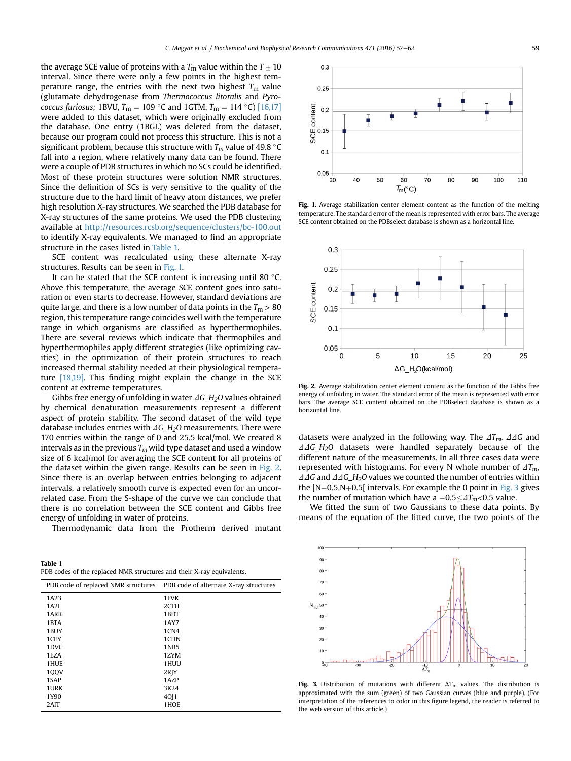<span id="page-2-0"></span>the average SCE value of proteins with a  $T_{\rm m}$  value within the  $T \pm 10$ interval. Since there were only a few points in the highest temperature range, the entries with the next two highest  $T_m$  value (glutamate dehydrogenase from Thermococcus litoralis and Pyrococcus furiosus; 1BVU,  $T_m = 109$  °C and 1GTM,  $T_m = 114$  °C) [\[16,17\]](#page-4-0) were added to this dataset, which were originally excluded from the database. One entry (1BGL) was deleted from the dataset, because our program could not process this structure. This is not a significant problem, because this structure with  $T_m$  value of 49.8 °C fall into a region, where relatively many data can be found. There were a couple of PDB structures in which no SCs could be identified. Most of these protein structures were solution NMR structures. Since the definition of SCs is very sensitive to the quality of the structure due to the hard limit of heavy atom distances, we prefer high resolution X-ray structures. We searched the PDB database for X-ray structures of the same proteins. We used the PDB clustering available at <http://resources.rcsb.org/sequence/clusters/bc-100.out> to identify X-ray equivalents. We managed to find an appropriate structure in the cases listed in Table 1.

SCE content was recalculated using these alternate X-ray structures. Results can be seen in Fig. 1.

It can be stated that the SCE content is increasing until 80 $\degree$ C. Above this temperature, the average SCE content goes into saturation or even starts to decrease. However, standard deviations are quite large, and there is a low number of data points in the  $T_m > 80$ region, this temperature range coincides well with the temperature range in which organisms are classified as hyperthermophiles. There are several reviews which indicate that thermophiles and hyperthermophiles apply different strategies (like optimizing cavities) in the optimization of their protein structures to reach increased thermal stability needed at their physiological temperature [\[18,19\]](#page-4-0). This finding might explain the change in the SCE content at extreme temperatures.

Gibbs free energy of unfolding in water  $\Delta G_H_2O$  values obtained by chemical denaturation measurements represent a different aspect of protein stability. The second dataset of the wild type database includes entries with  $\Delta G$  H<sub>2</sub>O measurements. There were 170 entries within the range of 0 and 25.5 kcal/mol. We created 8 intervals as in the previous  $T_m$  wild type dataset and used a window size of 6 kcal/mol for averaging the SCE content for all proteins of the dataset within the given range. Results can be seen in Fig. 2. Since there is an overlap between entries belonging to adjacent intervals, a relatively smooth curve is expected even for an uncorrelated case. From the S-shape of the curve we can conclude that there is no correlation between the SCE content and Gibbs free energy of unfolding in water of proteins.

Thermodynamic data from the Protherm derived mutant



| PDB code of replaced NMR structures | PDB code of alternate X-ray structures |
|-------------------------------------|----------------------------------------|
| 1A23                                | 1FVK                                   |
| 1A2I                                | 2CTH                                   |
| 1ARR                                | 1BDT                                   |
| 1BTA                                | 1AY7                                   |
| 1BUY                                | 1CN4                                   |
| 1CEY                                | 1CHN                                   |
| 1DVC                                | 1NB5                                   |
| 1EZA                                | 1ZYM                                   |
| 1HUE                                | 1HUU                                   |
| 100V                                | 2RJY                                   |
| 1SAP                                | 1AZP                                   |
| 1 URK                               | 3K24                                   |
| 1Y90                                | 40 1                                   |
| 2AIT                                | 1HOE                                   |



Fig. 1. Average stabilization center element content as the function of the melting temperature. The standard error of the mean is represented with error bars. The average SCE content obtained on the PDBselect database is shown as a horizontal line.



Fig. 2. Average stabilization center element content as the function of the Gibbs free energy of unfolding in water. The standard error of the mean is represented with error bars. The average SCE content obtained on the PDBselect database is shown as a horizontal line.

datasets were analyzed in the following way. The  $\Delta T_m$ ,  $\Delta\Delta G$  and  $\triangle A G_H_2O$  datasets were handled separately because of the different nature of the measurements. In all three cases data were represented with histograms. For every N whole number of  $\Delta T_m$ ,  $\Delta\Delta G$  and  $\Delta\Delta G$ <sub>-H<sub>2</sub>O values we counted the number of entries within</sub> the  $[N-0.5,N+0.5]$  intervals. For example the 0 point in Fig. 3 gives the number of mutation which have a  $-0.5 \leq \Delta T_m < 0.5$  value.

We fitted the sum of two Gaussians to these data points. By means of the equation of the fitted curve, the two points of the



Fig. 3. Distribution of mutations with different  $\Delta T_m$  values. The distribution is approximated with the sum (green) of two Gaussian curves (blue and purple). (For interpretation of the references to color in this figure legend, the reader is referred to the web version of this article.)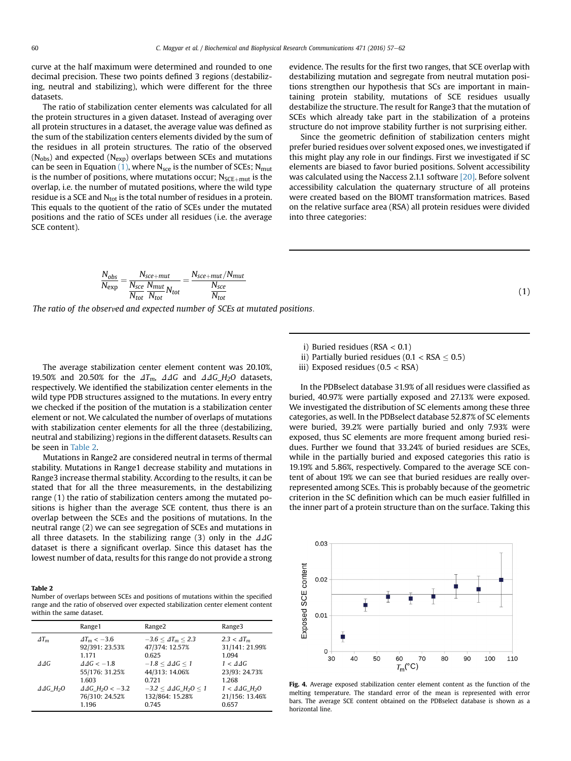<span id="page-3-0"></span>curve at the half maximum were determined and rounded to one decimal precision. These two points defined 3 regions (destabilizing, neutral and stabilizing), which were different for the three datasets.

The ratio of stabilization center elements was calculated for all the protein structures in a given dataset. Instead of averaging over all protein structures in a dataset, the average value was defined as the sum of the stabilization centers elements divided by the sum of the residues in all protein structures. The ratio of the observed  $(N_{obs})$  and expected  $(N_{exp})$  overlaps between SCEs and mutations can be seen in Equation  $(1)$ , where N<sub>sce</sub> is the number of SCEs; N<sub>mut</sub> is the number of positions, where mutations occur;  $N_{SCE+mut}$  is the overlap, i.e. the number of mutated positions, where the wild type residue is a SCE and  $N_{tot}$  is the total number of residues in a protein. This equals to the quotient of the ratio of SCEs under the mutated positions and the ratio of SCEs under all residues (i.e. the average SCE content).

evidence. The results for the first two ranges, that SCE overlap with destabilizing mutation and segregate from neutral mutation positions strengthen our hypothesis that SCs are important in maintaining protein stability, mutations of SCE residues usually destabilize the structure. The result for Range3 that the mutation of SCEs which already take part in the stabilization of a proteins structure do not improve stability further is not surprising either.

Since the geometric definition of stabilization centers might prefer buried residues over solvent exposed ones, we investigated if this might play any role in our findings. First we investigated if SC elements are biased to favor buried positions. Solvent accessibility was calculated using the Naccess 2.1.1 software [\[20\]](#page-4-0). Before solvent accessibility calculation the quaternary structure of all proteins were created based on the BIOMT transformation matrices. Based on the relative surface area (RSA) all protein residues were divided into three categories:

(1)

$$
\frac{N_{obs}}{N_{exp}} = \frac{N_{sce+mut}}{N_{sce}} \frac{N_{mut}}{N_{tot}} N_{tot}} = \frac{N_{sce+mut}/N_{mut}}{N_{sce}} \frac{N_{sce}}{N_{tot}}
$$

The ratio of the observed and expected number of SCEs at mutated positions:

The average stabilization center element content was 20.10%, 19.50% and 20.50% for the  $\Delta T_m$ ,  $\Delta\Delta G$  and  $\Delta\Delta G$ <sub>L</sub>H<sub>2</sub>O datasets, respectively. We identified the stabilization center elements in the wild type PDB structures assigned to the mutations. In every entry we checked if the position of the mutation is a stabilization center element or not. We calculated the number of overlaps of mutations with stabilization center elements for all the three (destabilizing, neutral and stabilizing) regions in the different datasets. Results can be seen in Table 2.

Mutations in Range2 are considered neutral in terms of thermal stability. Mutations in Range1 decrease stability and mutations in Range3 increase thermal stability. According to the results, it can be stated that for all the three measurements, in the destabilizing range (1) the ratio of stabilization centers among the mutated positions is higher than the average SCE content, thus there is an overlap between the SCEs and the positions of mutations. In the neutral range (2) we can see segregation of SCEs and mutations in all three datasets. In the stabilizing range (3) only in the  $\Delta\Delta G$ dataset is there a significant overlap. Since this dataset has the lowest number of data, results for this range do not provide a strong

#### Table 2

Number of overlaps between SCEs and positions of mutations within the specified range and the ratio of observed over expected stabilization center element content within the same dataset.

|                                 | Range1                                 | Range <sub>2</sub>                           | Range3                                |
|---------------------------------|----------------------------------------|----------------------------------------------|---------------------------------------|
| $\Delta T_m$                    | $\Delta T_m < -3.6$                    | $-3.6 < \Delta T_m < 2.3$                    | $2.3 < \Delta T_m$                    |
|                                 | 92/391: 23.53%                         | 47/374: 12.57%                               | 31/141: 21.99%                        |
|                                 | 1.171                                  | 0.625                                        | 1.094                                 |
| $\triangle$                     | $\Delta\Delta G < -1.8$                | $-1.8 < \Delta\Delta G < 1$                  | $1 < \Delta \Delta G$                 |
|                                 | 55/176: 31.25%                         | 44/313: 14.06%                               | 23/93: 24.73%                         |
|                                 | 1.603                                  | 0.721                                        | 1.268                                 |
| $\triangle$ AG H <sub>2</sub> O | $\triangle$ 4G H <sub>2</sub> O < -3.2 | $-3.2 < \Delta\Delta G$ H <sub>2</sub> O < 1 | $1 < \Delta\Delta G$ H <sub>2</sub> O |
|                                 | 76/310: 24.52%                         | 132/864: 15.28%                              | 21/156: 13.46%                        |
|                                 | 1.196                                  | 0.745                                        | 0.657                                 |

- i) Buried residues ( $RSA < 0.1$ )
- ii) Partially buried residues ( $0.1 <$ RSA  $\leq 0.5$ )
- iii) Exposed residues (0.5 < RSA)

In the PDBselect database 31.9% of all residues were classified as buried, 40.97% were partially exposed and 27.13% were exposed. We investigated the distribution of SC elements among these three categories, as well. In the PDBselect database 52.87% of SC elements were buried, 39.2% were partially buried and only 7.93% were exposed, thus SC elements are more frequent among buried residues. Further we found that 33.24% of buried residues are SCEs, while in the partially buried and exposed categories this ratio is 19.19% and 5.86%, respectively. Compared to the average SCE content of about 19% we can see that buried residues are really overrepresented among SCEs. This is probably because of the geometric criterion in the SC definition which can be much easier fulfilled in the inner part of a protein structure than on the surface. Taking this



Fig. 4. Average exposed stabilization center element content as the function of the melting temperature. The standard error of the mean is represented with error bars. The average SCE content obtained on the PDBselect database is shown as a horizontal line.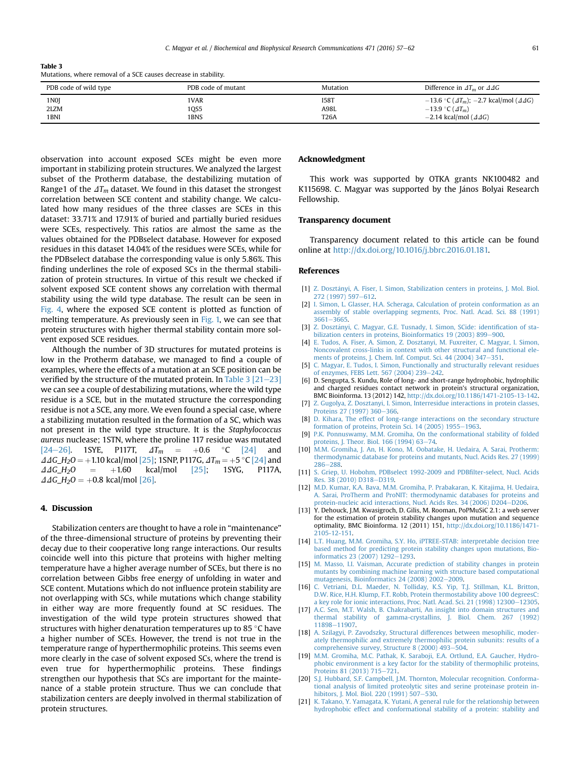<span id="page-4-0"></span>Table 3

Mutations, where removal of a SCE causes decrease in stability.

| PDB code of wild type | PDB code of mutant | Mutation    | Difference in $\Delta T_m$ or $\Delta \Delta G$                 |
|-----------------------|--------------------|-------------|-----------------------------------------------------------------|
| 1N <sub>0</sub> J     | 'VAR               | 158T        | $-13.6$ °C ( $\Delta T_m$ ); -2.7 kcal/mol ( $\Delta\Delta G$ ) |
| 2LZM                  | OS5                | A98L        | $-13.9$ °C ( $\Delta T_m$ )                                     |
| 1BNI                  | <b>BNS</b>         | <b>T26A</b> | $-2.14$ kcal/mol ( $\Delta\Delta G$ )                           |

observation into account exposed SCEs might be even more important in stabilizing protein structures. We analyzed the largest subset of the Protherm database, the destabilizing mutation of Range1 of the  $\Delta T_m$  dataset. We found in this dataset the strongest correlation between SCE content and stability change. We calculated how many residues of the three classes are SCEs in this dataset: 33.71% and 17.91% of buried and partially buried residues were SCEs, respectively. This ratios are almost the same as the values obtained for the PDBselect database. However for exposed residues in this dataset 14.04% of the residues were SCEs, while for the PDBselect database the corresponding value is only 5.86%. This finding underlines the role of exposed SCs in the thermal stabilization of protein structures. In virtue of this result we checked if solvent exposed SCE content shows any correlation with thermal stability using the wild type database. The result can be seen in [Fig. 4,](#page-3-0) where the exposed SCE content is plotted as function of melting temperature. As previously seen in [Fig. 1,](#page-2-0) we can see that protein structures with higher thermal stability contain more solvent exposed SCE residues.

Although the number of 3D structures for mutated proteins is low in the Protherm database, we managed to find a couple of examples, where the effects of a mutation at an SCE position can be verified by the structure of the mutated protein. In Table  $3 [21-23]$ we can see a couple of destabilizing mutations, where the wild type residue is a SCE, but in the mutated structure the corresponding residue is not a SCE, any more. We even found a special case, where a stabilizing mutation resulted in the formation of a SC, which was not present in the wild type structure. It is the Staphylococcus aureus nuclease; 1STN, where the proline 117 residue was mutated [\[24](#page-5-0)–[26\]](#page-5-0). 1SYE, P117T,  $\Delta T_m$  = +0.6 °C [\[24\]](#page-5-0) and  $\Delta\Delta G_{\text{L}}H_2O = +1.10 \text{ kcal/mol} [25]$ ; 1SNP, P117G,  $\Delta T_m = +5 \text{ °C} [24]$  $\Delta T_m = +5 \text{ °C} [24]$  and  $\Delta\Delta G_{\text{L}}H_2O = +1.60 \text{ kcal/mol} [25]$ ; 1SYG, P117A,  $\triangle$ 4G\_H<sub>2</sub>O  $\Delta\Delta G_{\perp}H_2O = +0.8$  kcal/mol [\[26\].](#page-5-0)

## 4. Discussion

Stabilization centers are thought to have a role in "maintenance" of the three-dimensional structure of proteins by preventing their decay due to their cooperative long range interactions. Our results coincide well into this picture that proteins with higher melting temperature have a higher average number of SCEs, but there is no correlation between Gibbs free energy of unfolding in water and SCE content. Mutations which do not influence protein stability are not overlapping with SCs, while mutations which change stability in either way are more frequently found at SC residues. The investigation of the wild type protein structures showed that structures with higher denaturation temperatures up to 85  $\degree$ C have a higher number of SCEs. However, the trend is not true in the temperature range of hyperthermophilic proteins. This seems even more clearly in the case of solvent exposed SCs, where the trend is even true for hyperthermophilic proteins. These findings strengthen our hypothesis that SCs are important for the maintenance of a stable protein structure. Thus we can conclude that stabilization centers are deeply involved in thermal stabilization of protein structures.

#### Acknowledgment

This work was supported by OTKA grants NK100482 and K115698. C. Magyar was supported by the János Bolyai Research Fellowship.

### Transparency document

Transparency document related to this article can be found online at [http://dx.doi.org/10.1016/j.bbrc.2016.01.181.](http://dx.doi.org/10.1016/j.bbrc.2016.01.181)

#### References

- [1] [Z. Doszt](http://refhub.elsevier.com/S0006-291X(16)30182-6/sref1)á[nyi, A. Fiser, I. Simon, Stabilization centers in proteins, J. Mol. Biol.](http://refhub.elsevier.com/S0006-291X(16)30182-6/sref1) [272 \(1997\) 597](http://refhub.elsevier.com/S0006-291X(16)30182-6/sref1)-[612.](http://refhub.elsevier.com/S0006-291X(16)30182-6/sref1)
- [2] [I. Simon, L. Glasser, H.A. Scheraga, Calculation of protein conformation as an](http://refhub.elsevier.com/S0006-291X(16)30182-6/sref2) [assembly of stable overlapping segments, Proc. Natl. Acad. Sci. 88 \(1991\)](http://refhub.elsevier.com/S0006-291X(16)30182-6/sref2)  $3661 - 3665$  $3661 - 3665$ .
- [3] [Z. Doszt](http://refhub.elsevier.com/S0006-291X(16)30182-6/sref3)á[nyi, C. Magyar, G.E. Tusnady, I. Simon, SCide: identi](http://refhub.elsevier.com/S0006-291X(16)30182-6/sref3)fication of sta[bilization centers in proteins, Bioinformatics 19 \(2003\) 899](http://refhub.elsevier.com/S0006-291X(16)30182-6/sref3)-[900.](http://refhub.elsevier.com/S0006-291X(16)30182-6/sref3)
- [4] [E. Tudos, A. Fiser, A. Simon, Z. Dosztanyi, M. Fuxreiter, C. Magyar, I. Simon,](http://refhub.elsevier.com/S0006-291X(16)30182-6/sref4) [Noncovalent cross-links in context with other structural and functional ele](http://refhub.elsevier.com/S0006-291X(16)30182-6/sref4)[ments of proteins, J. Chem. Inf. Comput. Sci. 44 \(2004\) 347](http://refhub.elsevier.com/S0006-291X(16)30182-6/sref4)-[351.](http://refhub.elsevier.com/S0006-291X(16)30182-6/sref4)
- [5] [C. Magyar, E. Tudos, I. Simon, Functionally and structurally relevant residues](http://refhub.elsevier.com/S0006-291X(16)30182-6/sref5) [of enzymes, FEBS Lett. 567 \(2004\) 239](http://refhub.elsevier.com/S0006-291X(16)30182-6/sref5)-[242](http://refhub.elsevier.com/S0006-291X(16)30182-6/sref5).
- [6] D. Sengupta, S. Kundu, Role of long- and short-range hydrophobic, hydrophilic and charged residues contact network in protein's structural organization, BMC Bioinforma. 13 (2012) 142, <http://dx.doi.org/10.1186/1471-2105-13-142>.
- [7] [Z. Gugolya, Z. Dosztanyi, I. Simon, Interresidue interactions in protein classes,](http://refhub.elsevier.com/S0006-291X(16)30182-6/sref7) [Proteins 27 \(1997\) 360](http://refhub.elsevier.com/S0006-291X(16)30182-6/sref7)-[366](http://refhub.elsevier.com/S0006-291X(16)30182-6/sref7).
- [8] [D. Kihara, The effect of long-range interactions on the secondary structure](http://refhub.elsevier.com/S0006-291X(16)30182-6/sref8) formation of proteins, Protein Sci.  $14$  (2005) 1955-[1963](http://refhub.elsevier.com/S0006-291X(16)30182-6/sref8).
- [9] [P.K. Ponnuswamy, M.M. Gromiha, On the conformational stability of folded](http://refhub.elsevier.com/S0006-291X(16)30182-6/sref9) proteins, J. Theor. Biol.  $166 (1994) 63 - 74$  $166 (1994) 63 - 74$ .
- [10] [M.M. Gromiha, J. An, H. Kono, M. Oobatake, H. Uedaira, A. Sarai, Protherm:](http://refhub.elsevier.com/S0006-291X(16)30182-6/sref10) [thermodynamic database for proteins and mutants, Nucl. Acids Res. 27 \(1999\)](http://refhub.elsevier.com/S0006-291X(16)30182-6/sref10) [286](http://refhub.elsevier.com/S0006-291X(16)30182-6/sref10)-[288.](http://refhub.elsevier.com/S0006-291X(16)30182-6/sref10)
- [11] [S. Griep, U. Hobohm, PDBselect 1992-2009 and PDB](http://refhub.elsevier.com/S0006-291X(16)30182-6/sref11)filter-select, Nucl. Acids [Res. 38 \(2010\) D318](http://refhub.elsevier.com/S0006-291X(16)30182-6/sref11)-[D319](http://refhub.elsevier.com/S0006-291X(16)30182-6/sref11).
- [12] [M.D. Kumar, K.A. Bava, M.M. Gromiha, P. Prabakaran, K. Kitajima, H. Uedaira,](http://refhub.elsevier.com/S0006-291X(16)30182-6/sref12) [A. Sarai, ProTherm and ProNIT: thermodynamic databases for proteins and](http://refhub.elsevier.com/S0006-291X(16)30182-6/sref12) [protein-nucleic acid interactions, Nucl. Acids Res. 34 \(2006\) D204](http://refhub.elsevier.com/S0006-291X(16)30182-6/sref12)-[D206.](http://refhub.elsevier.com/S0006-291X(16)30182-6/sref12)
- [13] Y. Dehouck, J.M. Kwasigroch, D. Gilis, M. Rooman, PoPMuSiC 2.1: a web server for the estimation of protein stability changes upon mutation and sequence optimality, BMC Bioinforma. 12 (2011) 151, [http://dx.doi.org/10.1186/1471-](http://dx.doi.org/10.1186/1471-2105-12-151) [2105-12-151](http://dx.doi.org/10.1186/1471-2105-12-151).
- [14] [L.T. Huang, M.M. Gromiha, S.Y. Ho, iPTREE-STAB: interpretable decision tree](http://refhub.elsevier.com/S0006-291X(16)30182-6/sref14) [based method for predicting protein stability changes upon mutations, Bio](http://refhub.elsevier.com/S0006-291X(16)30182-6/sref14)informatics  $23(2007) 1292 - 1293$ .
- [15] [M. Masso, I.I. Vaisman, Accurate prediction of stability changes in protein](http://refhub.elsevier.com/S0006-291X(16)30182-6/sref15) [mutants by combining machine learning with structure based computational](http://refhub.elsevier.com/S0006-291X(16)30182-6/sref15) mutagenesis, Bioinformatics  $24$  (2008)  $2002-2009$  $2002-2009$ .
- [16] [C. Vetriani, D.L. Maeder, N. Tolliday, K.S. Yip, T.J. Stillman, K.L. Britton,](http://refhub.elsevier.com/S0006-291X(16)30182-6/sref16) [D.W. Rice, H.H. Klump, F.T. Robb, Protein thermostability above 100 degreesC:](http://refhub.elsevier.com/S0006-291X(16)30182-6/sref16) [a key role for ionic interactions, Proc. Natl. Acad. Sci. 21 \(1998\) 12300](http://refhub.elsevier.com/S0006-291X(16)30182-6/sref16)-[12305](http://refhub.elsevier.com/S0006-291X(16)30182-6/sref16).
- [17] [A.C. Sen, M.T. Walsh, B. Chakrabarti, An insight into domain structures and](http://refhub.elsevier.com/S0006-291X(16)30182-6/sref17) [thermal stability of gamma-crystallins, J. Biol. Chem. 267 \(1992\)](http://refhub.elsevier.com/S0006-291X(16)30182-6/sref17) [11898](http://refhub.elsevier.com/S0006-291X(16)30182-6/sref17)-[11907.](http://refhub.elsevier.com/S0006-291X(16)30182-6/sref17)
- [18] [A. Szilagyi, P. Zavodszky, Structural differences between mesophilic, moder](http://refhub.elsevier.com/S0006-291X(16)30182-6/sref18)[ately thermophilic and extremely thermophilic protein subunits: results of a](http://refhub.elsevier.com/S0006-291X(16)30182-6/sref18) [comprehensive survey, Structure 8 \(2000\) 493](http://refhub.elsevier.com/S0006-291X(16)30182-6/sref18)-[504](http://refhub.elsevier.com/S0006-291X(16)30182-6/sref18).
- [19] [M.M. Gromiha, M.C. Pathak, K. Saraboji, E.A. Ortlund, E.A. Gaucher, Hydro](http://refhub.elsevier.com/S0006-291X(16)30182-6/sref19)[phobic environment is a key factor for the stability of thermophilic proteins,](http://refhub.elsevier.com/S0006-291X(16)30182-6/sref19) [Proteins 81 \(2013\) 715](http://refhub.elsevier.com/S0006-291X(16)30182-6/sref19)-[721.](http://refhub.elsevier.com/S0006-291X(16)30182-6/sref19)
- [20] [S.J. Hubbard, S.F. Campbell, J.M. Thornton, Molecular recognition. Conforma](http://refhub.elsevier.com/S0006-291X(16)30182-6/sref20)[tional analysis of limited proteolytic sites and serine proteinase protein in](http://refhub.elsevier.com/S0006-291X(16)30182-6/sref20)[hibitors, J. Mol. Biol. 220 \(1991\) 507](http://refhub.elsevier.com/S0006-291X(16)30182-6/sref20)-[530](http://refhub.elsevier.com/S0006-291X(16)30182-6/sref20).
- [21] [K. Takano, Y. Yamagata, K. Yutani, A general rule for the relationship between](http://refhub.elsevier.com/S0006-291X(16)30182-6/sref21) [hydrophobic effect and conformational stability of a protein: stability and](http://refhub.elsevier.com/S0006-291X(16)30182-6/sref21)